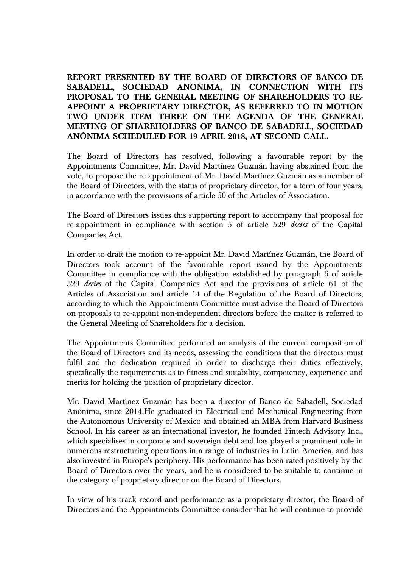**REPORT PRESENTED BY THE BOARD OF DIRECTORS OF BANCO DE SABADELL, SOCIEDAD ANÓNIMA, IN CONNECTION WITH ITS PROPOSAL TO THE GENERAL MEETING OF SHAREHOLDERS TO RE-APPOINT A PROPRIETARY DIRECTOR, AS REFERRED TO IN MOTION TWO UNDER ITEM THREE ON THE AGENDA OF THE GENERAL MEETING OF SHAREHOLDERS OF BANCO DE SABADELL, SOCIEDAD ANÓNIMA SCHEDULED FOR 19 APRIL 2018, AT SECOND CALL.** 

The Board of Directors has resolved, following a favourable report by the Appointments Committee, Mr. David Martínez Guzmán having abstained from the vote, to propose the re-appointment of Mr. David Martínez Guzmán as a member of the Board of Directors, with the status of proprietary director, for a term of four years, in accordance with the provisions of article 50 of the Articles of Association.

The Board of Directors issues this supporting report to accompany that proposal for re-appointment in compliance with section 5 of article 529 *decies* of the Capital Companies Act.

In order to draft the motion to re-appoint Mr. David Martínez Guzmán, the Board of Directors took account of the favourable report issued by the Appointments Committee in compliance with the obligation established by paragraph 6 of article 529 *decies* of the Capital Companies Act and the provisions of article 61 of the Articles of Association and article 14 of the Regulation of the Board of Directors, according to which the Appointments Committee must advise the Board of Directors on proposals to re-appoint non-independent directors before the matter is referred to the General Meeting of Shareholders for a decision.

The Appointments Committee performed an analysis of the current composition of the Board of Directors and its needs, assessing the conditions that the directors must fulfil and the dedication required in order to discharge their duties effectively, specifically the requirements as to fitness and suitability, competency, experience and merits for holding the position of proprietary director.

Mr. David Martínez Guzmán has been a director of Banco de Sabadell, Sociedad Anónima, since 2014.He graduated in Electrical and Mechanical Engineering from the Autonomous University of Mexico and obtained an MBA from Harvard Business School. In his career as an international investor, he founded Fintech Advisory Inc., which specialises in corporate and sovereign debt and has played a prominent role in numerous restructuring operations in a range of industries in Latin America, and has also invested in Europe's periphery. His performance has been rated positively by the Board of Directors over the years, and he is considered to be suitable to continue in the category of proprietary director on the Board of Directors.

In view of his track record and performance as a proprietary director, the Board of Directors and the Appointments Committee consider that he will continue to provide